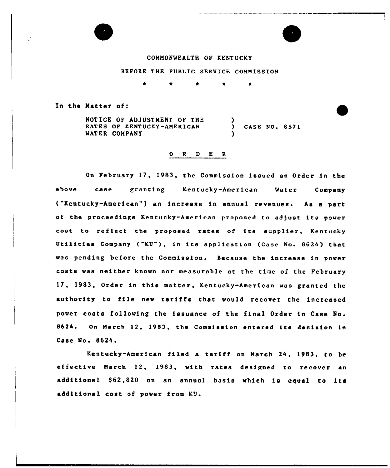

# CQNMONMEALTH OF KENTUCKY

# BEFORE THE PUBLIC SERVICE CONNISSION

0 R <sup>D</sup> E R

In the Natter of:

NOTICE OF ADJUSTMENT OF THE RATES OF KENT VCKY-AMERICAN WATER COMPANY  $\mathcal{L}$ CASE NO. 8571 )

On February 17, 1983, the Commission issued an Order in the above csee granting Kentucky-American Meter Company ("Kentucky-hmericen") an increase in annual revenues. hs <sup>a</sup> part of the proceedings Kentucky-American proposed to adjust its power cost to reflect the proposed rates of its supplier, Kentucky Utilities Company ("KU"), in its application (Case No. 8624) that was pending before the Commission. Because the increase in power costs wes neither known nor measurable et the time of the February 17, 1983, Order in this matter, Kentucky-American was granted the authority to file new tariffs that would recover the increased power costs following the issuance of the final Order in Case No. 8624. On March 12, 1983, the Commission entered its decision in Case No. 8624.

Kentucky-American filed <sup>a</sup> tariff on March 24, 1983, to be effective March 12, 1983, with rates designed to recover an additional \$62,820 on an annual basis which is equal to its additional cost of power from KU.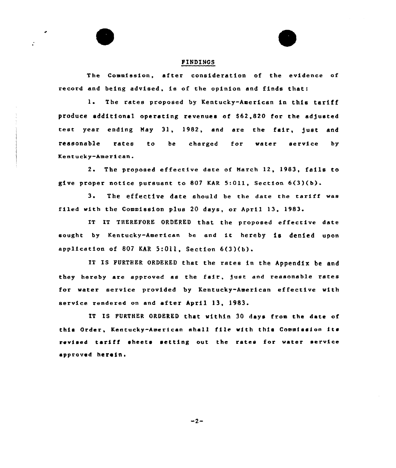#### FINDINGS

The Commission, after consideration of the evidence af record and being advised, is of the opinion snd finds that:

1. The rates proposed by Kentucky-American in this tariff produce additional operating revenues of \$62,820 for the adjusted test year ending May 31, 1982, and are the fair, just and reasonable rates to be charged for water service by Kentucky-American.

2. The proposed effective date of March 12, 1983, fails to give proper notice pursuant to 807 KAR 5:Oll, Section 6(3)(b).

3. The effective date should be the date the tariff was filed with the Commission plus 20 days, or April 13, 1983.

IT IT THEREFORE ORDERED that the proposed effective date sought by Kentucky-American be end it hereby is denied upon application of <sup>807</sup> KAR 5:011, Section 6(3)(b).

IT IS FURTHER ORDERED that the rates in the Appendix be and they hereby are approved as the fair, )ust end reasonable rates for water service provided by Kentucky-American effective with service rendered on and after April 13, 1983.

IT IS FURTHER ORDERED that within 30 days from the date of this Order, Kentucky-American shall file with this Commission its revised tariff sheets setting out the rates for water service approved herein.

 $-2-$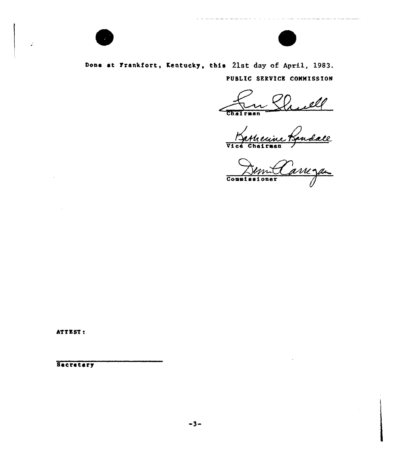

 $\ddot{\cdot}$ 



and the contract of the contract material and construction and contract the contract of the contract of the contract of the contract of the contract of the contract of the contract of the contract of the contract of the co

# Done at Frankfort, Kentucky, this 21st day of April, 1983. PUBLIC SERVICE COMMISSION

ell Chairman

Chairean<br>Vatheuine Bandale

ATTEST:

**Secretary**